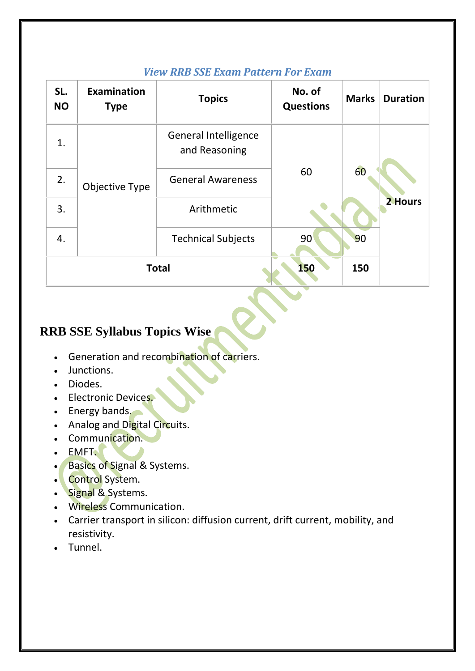| SL.<br><b>NO</b> | <b>Examination</b><br><b>Type</b> | <b>Topics</b>                                | No. of<br><b>Questions</b> | <b>Marks</b>  | <b>Duration</b> |
|------------------|-----------------------------------|----------------------------------------------|----------------------------|---------------|-----------------|
| 1.               | Objective Type                    | <b>General Intelligence</b><br>and Reasoning | 60                         | 60<br>2 Hours |                 |
| 2.               |                                   | <b>General Awareness</b>                     |                            |               |                 |
| 3.               |                                   | Arithmetic                                   |                            |               |                 |
| 4.               |                                   | <b>Technical Subjects</b>                    | 90                         | 90            |                 |
| <b>Total</b>     |                                   |                                              | 150                        | 150           |                 |

#### *View RRB SSE Exam Pattern For Exam*

## **RRB SSE Syllabus Topics Wise**

- **Generation and recombination of carriers.**
- Junctions.
- Diodes.
- **Electronic Devices.**
- **Energy bands.**
- Analog and Digital Circuits.
- Communication.
- EMFT.
- Basics of Signal & Systems.
- Control System.
- Signal & Systems.
- Wireless Communication.
- Carrier transport in silicon: diffusion current, drift current, mobility, and resistivity.
- Tunnel.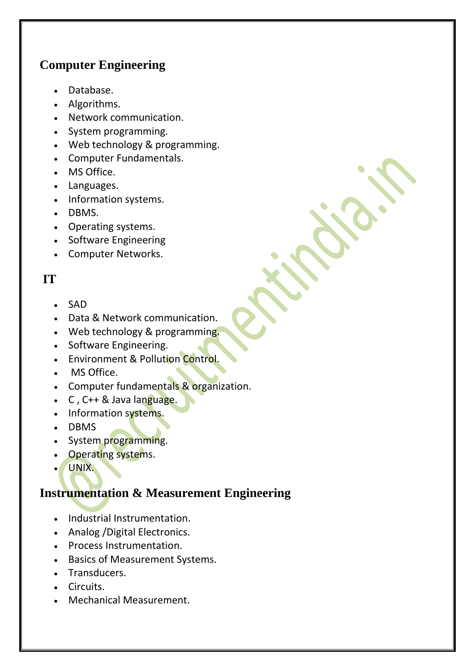## **Computer Engineering**

- Database.
- Algorithms.
- Network communication.
- System programming.
- Web technology & programming.
- Computer Fundamentals.
- MS Office.
- Languages.
- Information systems.
- DBMS.
- Operating systems.
- Software Engineering
- Computer Networks.

### **IT**

- $-SAD$
- Data & Network communication.
- Web technology & programming.
- Software Engineering.
- Environment & Pollution Control.
- . MS Office.
- Computer fundamentals & organization.
- $\cdot$  C, C++ & Java language.
- Information systems.
- DBMS
- System programming.
- Operating systems.
- UNIX.

### **Instrumentation & Measurement Engineering**

- Industrial Instrumentation.
- Analog / Digital Electronics.
- Process Instrumentation.
- Basics of Measurement Systems.
- Transducers.
- Circuits.
- Mechanical Measurement.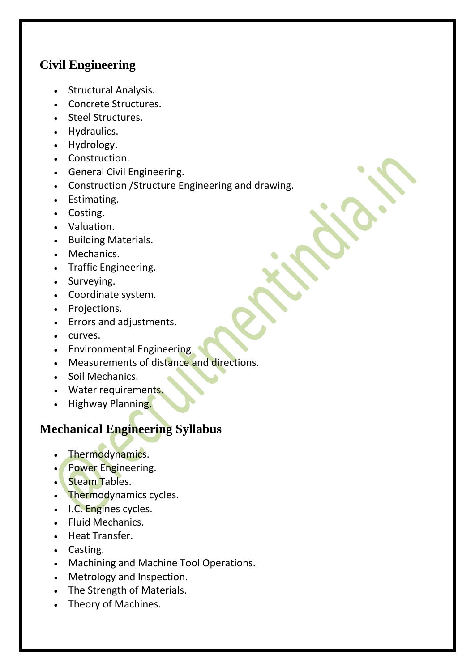# **Civil Engineering**

- Structural Analysis.
- Concrete Structures.
- Steel Structures.
- Hydraulics.
- Hydrology.
- Construction.
- General Civil Engineering.
- Construction /Structure Engineering and drawing.
- Estimating.
- Costing.
- Valuation.
- Building Materials.
- Mechanics.
- Traffic Engineering.
- Surveying.
- Coordinate system.
- Projections.
- Errors and adjustments.
- curves.
- Environmental Engineering
- Measurements of distance and directions.
- Soil Mechanics.
- Water requirements.
- Highway Planning.

# **Mechanical Engineering Syllabus**

- Thermodynamics.
- Power Engineering.
- **Steam Tables.**
- Thermodynamics cycles.
- I.C. Engines cycles.
- Fluid Mechanics.
- Heat Transfer.
- Casting.
- Machining and Machine Tool Operations.
- Metrology and Inspection.
- The Strength of Materials.
- Theory of Machines.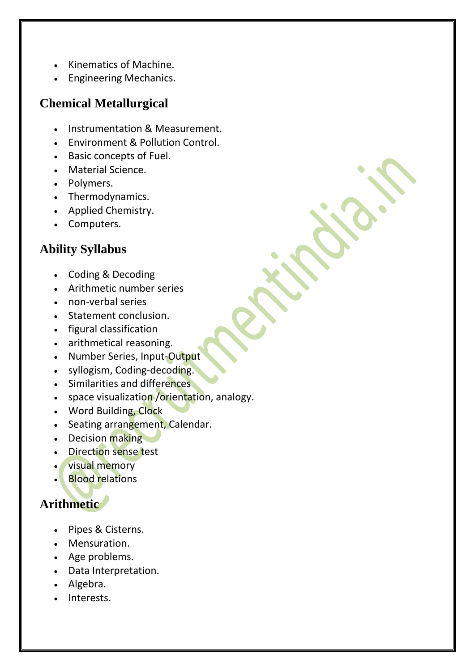- Kinematics of Machine.
- Engineering Mechanics.

## **Chemical Metallurgical**

- Instrumentation & Measurement.
- Environment & Pollution Control.
- Basic concepts of Fuel.
- Material Science.
- Polymers.
- Thermodynamics.
- Applied Chemistry.
- Computers.

## **Ability Syllabus**

- Coding & Decoding
- Arithmetic number series
- non-verbal series
- Statement conclusion.
- figural classification
- arithmetical reasoning.
- Number Series, Input-Output
- syllogism, Coding-decoding.
- Similarities and differences
- space visualization / orientation, analogy.
- Word Building, Clock
- Seating arrangement, Calendar.
- Decision making
- Direction sense test
- visual memory
- **Blood relations**

# **Arithmetic**

- Pipes & Cisterns.
- Mensuration.
- Age problems.
- Data Interpretation.
- Algebra.
- Interests.